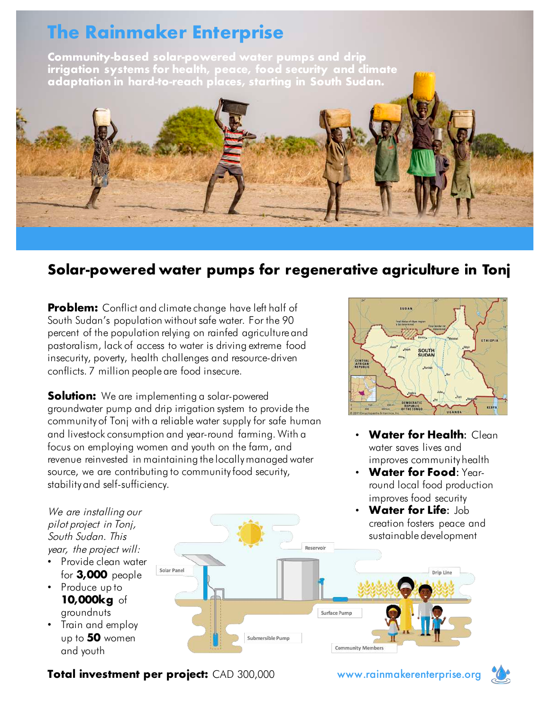### The Rainmaker Enterprise

Community-based solar-powered water pumps and drip irrigation systems for health, peace, food security and climate adaptation in hard-to-reach places, starting in South Sudan.



### Solar-powered water pumps for regenerative agriculture in Tonj

**Problem:** Conflict and climate change have left half of South Sudan's population without safe water. For the 90 percent of the population relying on rainfed agriculture and pastoralism, lack of access to water is driving extreme food insecurity, poverty, health challenges and resource-driven conflicts. 7 million people are food insecure.

**Solution:** We are implementing a solar-powered groundwater pump and drip irrigation system to provide the community of Tonj with a reliable water supply for safe human and livestock consumption and year-round farming. With a focus on employing women and youth on the farm, and revenue reinvested in maintaining the locally managed water source, we are contributing to community food security, stability and self-sufficiency.



- **Water for Health: Clean** water saves lives and improves community health
- Water for Food: Yearround local food production improves food security
- **Water for Life: Job** creation fosters peace and sustainable development

We are installing our <sup>p</sup>ilot project in Tonj, South Sudan. This year, the project will:

- Provide clean water for 3,000 people
- Produce up to 10,000kg of groundnuts
- Train and employ up to 50 women and youth



Total investment per project: CAD 300,000 www.rainmakerenterprise.org